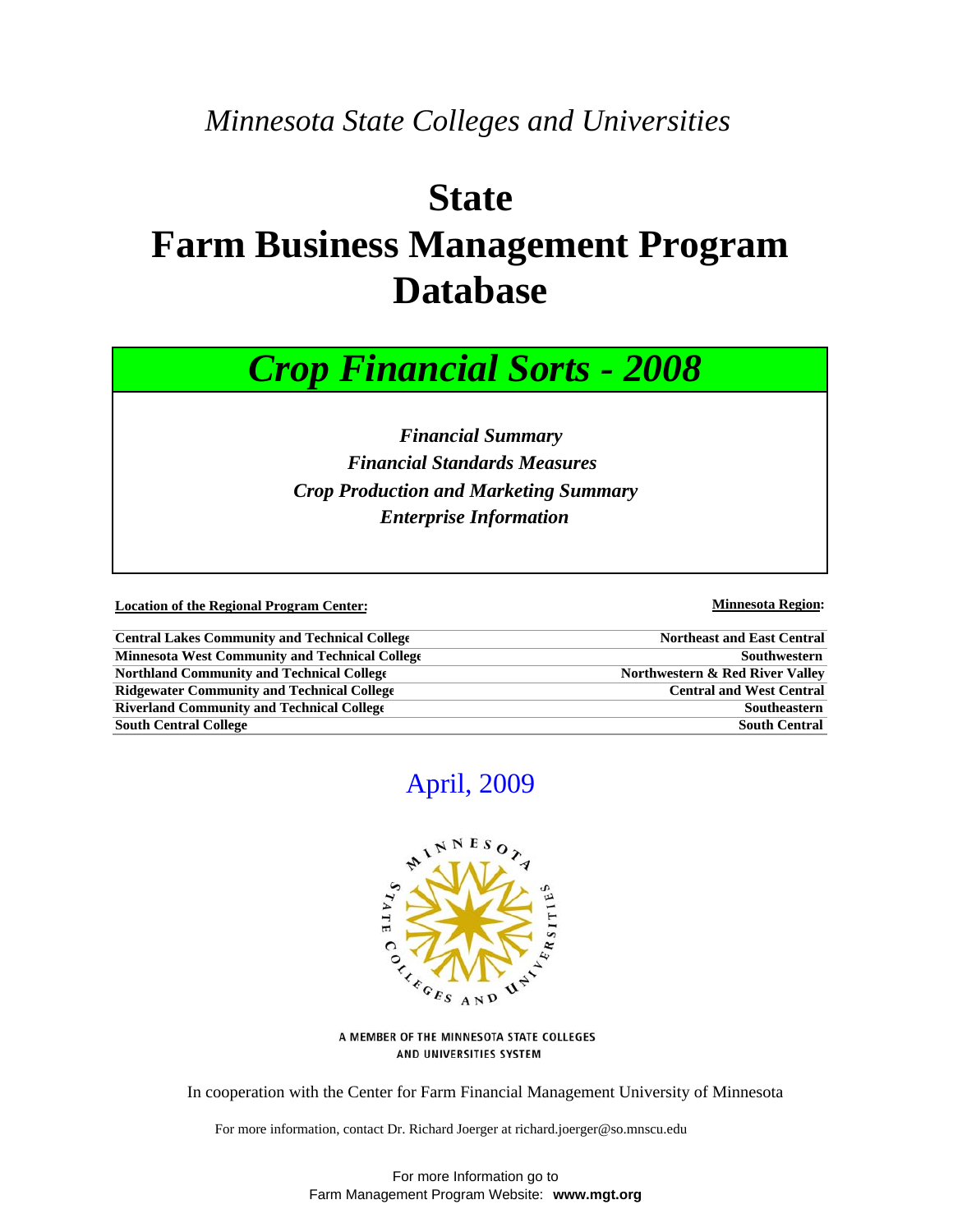# *Minnesota State Colleges and Universities*

# **State Farm Business Management Program Database**



 *Financial Summary Financial Standards Measures Crop Production and Marketing Summary Enterprise Information*

**Location of the Regional Program Center:** Minnesota Region: Minnesota Region:

| <b>Central Lakes Community and Technical College</b> | <b>Northeast and East Central</b> |
|------------------------------------------------------|-----------------------------------|
| Minnesota West Community and Technical College       | Southwestern                      |
| <b>Northland Community and Technical College</b>     | Northwestern & Red River Valley   |
| <b>Ridgewater Community and Technical College</b>    | <b>Central and West Central</b>   |
| <b>Riverland Community and Technical College</b>     | Southeastern                      |
| <b>South Central College</b>                         | <b>South Central</b>              |

# April, 2009



A MEMBER OF THE MINNESOTA STATE COLLEGES AND UNIVERSITIES SYSTEM

In cooperation with the Center for Farm Financial Management University of Minnesota

For more information, contact Dr. Richard Joerger at richard.joerger@so.mnscu.edu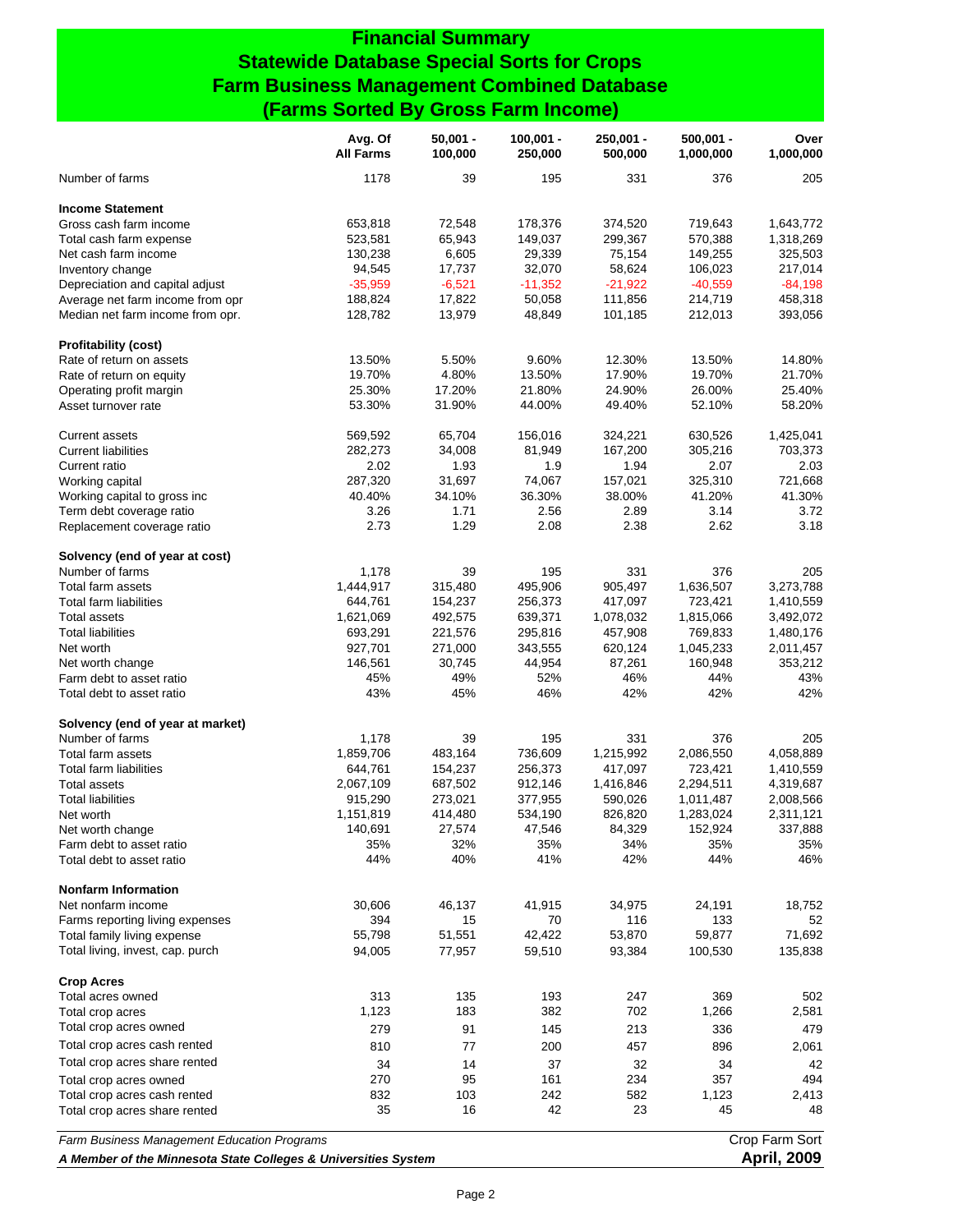## **Financial Summary Statewide Database Special Sorts for Crops Farm Business Management Combined Database (Farms Sorted By Gross Farm Income)**

|                                                                | Avg. Of<br><b>All Farms</b> | $50,001 -$<br>100,000 | $100,001 -$<br>250,000 | $250,001 -$<br>500,000 | $500,001 -$<br>1,000,000 | Over<br>1,000,000    |
|----------------------------------------------------------------|-----------------------------|-----------------------|------------------------|------------------------|--------------------------|----------------------|
| Number of farms                                                | 1178                        | 39                    | 195                    | 331                    | 376                      | 205                  |
| <b>Income Statement</b>                                        |                             |                       |                        |                        |                          |                      |
| Gross cash farm income                                         | 653,818                     | 72,548                | 178,376                | 374,520                | 719,643                  | 1,643,772            |
| Total cash farm expense                                        | 523,581                     | 65,943                | 149,037                | 299,367                | 570,388                  | 1,318,269            |
| Net cash farm income                                           | 130,238                     | 6,605                 | 29,339                 | 75,154                 | 149,255                  | 325,503              |
| Inventory change                                               | 94,545                      | 17,737                | 32,070                 | 58,624                 | 106,023                  | 217,014              |
| Depreciation and capital adjust                                | $-35,959$                   | $-6,521$              | $-11,352$              | $-21,922$              | $-40,559$                | $-84,198$            |
| Average net farm income from opr                               | 188,824                     | 17,822                | 50,058                 | 111,856                | 214,719                  | 458,318              |
| Median net farm income from opr.                               | 128,782                     | 13,979                | 48,849                 | 101,185                | 212,013                  | 393,056              |
| <b>Profitability (cost)</b>                                    |                             |                       |                        |                        |                          |                      |
| Rate of return on assets                                       | 13.50%                      | 5.50%                 | 9.60%                  | 12.30%                 | 13.50%                   | 14.80%               |
| Rate of return on equity                                       | 19.70%                      | 4.80%                 | 13.50%                 | 17.90%                 | 19.70%                   | 21.70%               |
| Operating profit margin                                        | 25.30%                      | 17.20%                | 21.80%                 | 24.90%                 | 26.00%                   | 25.40%<br>58.20%     |
| Asset turnover rate                                            | 53.30%                      | 31.90%                | 44.00%                 | 49.40%                 | 52.10%                   |                      |
| <b>Current assets</b><br><b>Current liabilities</b>            | 569,592<br>282,273          | 65,704<br>34,008      | 156,016<br>81,949      | 324,221<br>167,200     | 630,526<br>305,216       | 1,425,041<br>703,373 |
| Current ratio                                                  | 2.02                        | 1.93                  | 1.9                    | 1.94                   | 2.07                     | 2.03                 |
| Working capital                                                | 287,320                     | 31,697                | 74,067                 | 157,021                | 325,310                  | 721,668              |
| Working capital to gross inc                                   | 40.40%                      | 34.10%                | 36.30%                 | 38.00%                 | 41.20%                   | 41.30%               |
| Term debt coverage ratio                                       | 3.26                        | 1.71                  | 2.56                   | 2.89                   | 3.14                     | 3.72                 |
| Replacement coverage ratio                                     | 2.73                        | 1.29                  | 2.08                   | 2.38                   | 2.62                     | 3.18                 |
| Solvency (end of year at cost)                                 |                             |                       |                        |                        |                          |                      |
| Number of farms                                                | 1,178                       | 39                    | 195                    | 331                    | 376                      | 205                  |
| Total farm assets                                              | 1,444,917                   | 315,480               | 495,906                | 905,497                | 1,636,507                | 3,273,788            |
| Total farm liabilities                                         | 644,761                     | 154,237               | 256,373                | 417,097                | 723,421                  | 1,410,559            |
| <b>Total assets</b>                                            | 1,621,069                   | 492,575               | 639,371                | 1,078,032              | 1,815,066                | 3,492,072            |
| <b>Total liabilities</b>                                       | 693,291                     | 221,576               | 295,816                | 457,908                | 769,833                  | 1,480,176            |
| Net worth                                                      | 927,701                     | 271,000               | 343,555                | 620,124                | 1,045,233                | 2,011,457            |
| Net worth change                                               | 146,561                     | 30,745                | 44,954                 | 87,261                 | 160,948                  | 353,212              |
| Farm debt to asset ratio                                       | 45%                         | 49%                   | 52%                    | 46%                    | 44%                      | 43%                  |
| Total debt to asset ratio                                      | 43%                         | 45%                   | 46%                    | 42%                    | 42%                      | 42%                  |
| Solvency (end of year at market)                               |                             |                       |                        |                        |                          |                      |
| Number of farms                                                | 1,178                       | 39                    | 195                    | 331                    | 376                      | 205                  |
| Total farm assets                                              | 1,859,706                   | 483,164               | 736,609                | 1,215,992              | 2,086,550                | 4,058,889            |
| <b>Total farm liabilities</b>                                  | 644,761                     | 154,237               | 256,373                | 417,097                | 723,421                  | 1,410,559            |
| <b>Total assets</b>                                            | 2,067,109                   | 687,502               | 912,146                | 1,416,846              | 2,294,511                | 4,319,687            |
| <b>Total liabilities</b>                                       | 915,290                     | 273,021               | 377,955                | 590,026                | 1,011,487                | 2,008,566            |
| Net worth                                                      | 1,151,819                   | 414,480               | 534,190                | 826,820                | 1,283,024                | 2,311,121            |
| Net worth change                                               | 140,691                     | 27,574                | 47,546                 | 84,329<br>34%          | 152,924                  | 337,888              |
| Farm debt to asset ratio<br>Total debt to asset ratio          | 35%<br>44%                  | 32%<br>40%            | 35%<br>41%             | 42%                    | 35%<br>44%               | 35%<br>46%           |
|                                                                |                             |                       |                        |                        |                          |                      |
| <b>Nonfarm Information</b><br>Net nonfarm income               | 30,606                      | 46,137                | 41,915                 | 34,975                 | 24,191                   | 18,752               |
| Farms reporting living expenses                                | 394                         | 15                    | 70                     | 116                    | 133                      | 52                   |
| Total family living expense                                    | 55,798                      | 51,551                | 42,422                 | 53,870                 | 59,877                   | 71,692               |
| Total living, invest, cap. purch                               | 94,005                      | 77,957                | 59,510                 | 93,384                 | 100,530                  | 135,838              |
| <b>Crop Acres</b>                                              |                             |                       |                        |                        |                          |                      |
| Total acres owned                                              | 313                         | 135                   | 193                    | 247                    | 369                      | 502                  |
| Total crop acres                                               | 1,123                       | 183                   | 382                    | 702                    | 1,266                    | 2,581                |
| Total crop acres owned                                         | 279                         | 91                    | 145                    | 213                    | 336                      | 479                  |
| Total crop acres cash rented                                   | 810                         | 77                    | 200                    | 457                    | 896                      | 2,061                |
| Total crop acres share rented                                  | 34                          | 14                    | 37                     | 32                     | 34                       | 42                   |
| Total crop acres owned                                         | 270                         | 95                    | 161                    | 234                    | 357                      | 494                  |
| Total crop acres cash rented                                   | 832                         | 103                   | 242                    | 582                    | 1,123                    | 2,413                |
| Total crop acres share rented                                  | 35                          | 16                    | 42                     | 23                     | 45                       | 48                   |
| Farm Business Management Education Programs                    |                             |                       |                        |                        |                          | Crop Farm Sort       |
| A Member of the Minnesota State Colleges & Universities System |                             |                       |                        |                        |                          | <b>April, 2009</b>   |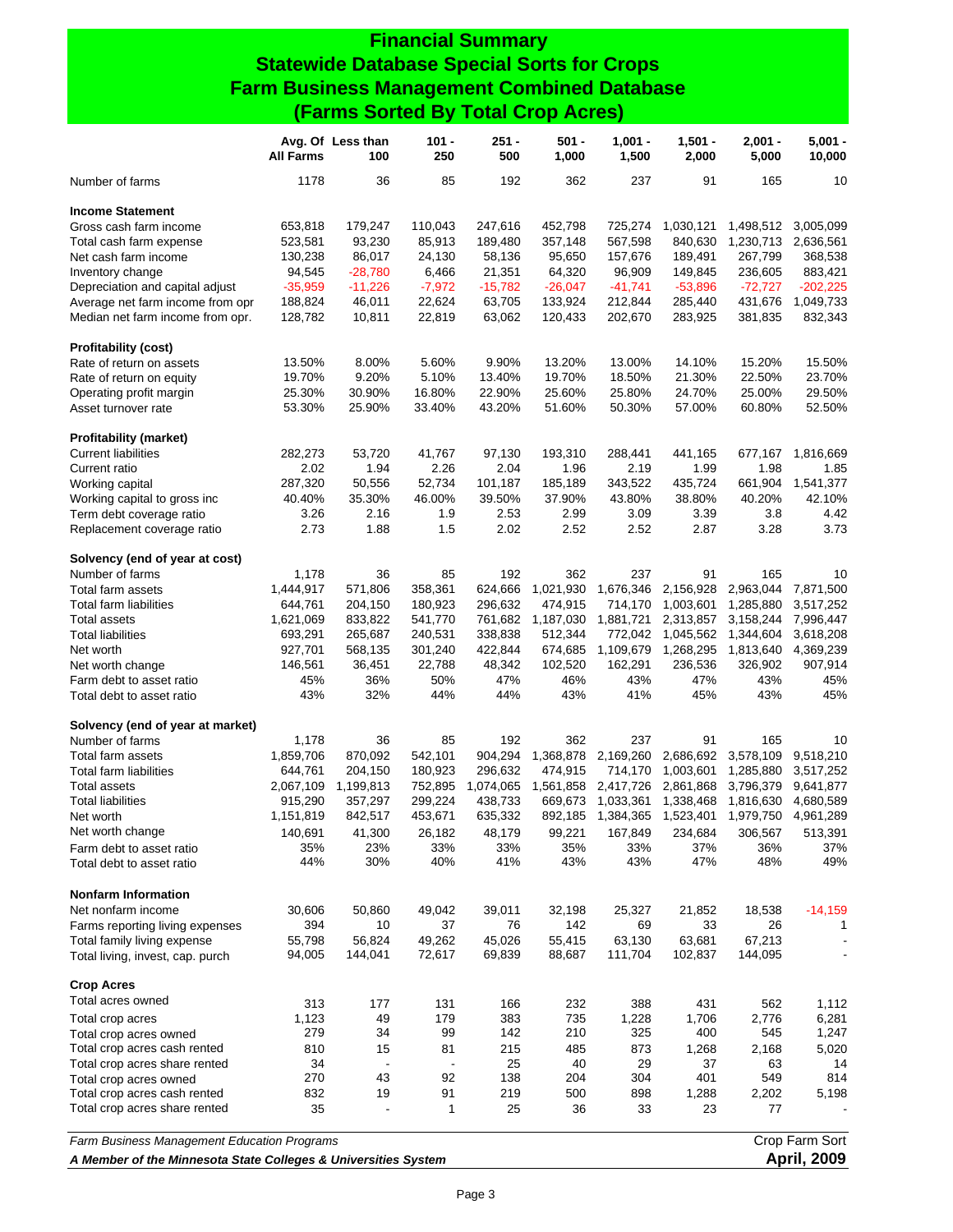# **Financial Summary Statewide Database Special Sorts for Crops Farm Business Management Combined Database (Farms Sorted By Total Crop Acres)**

|                                             | <b>All Farms</b>                                                                     | Avg. Of Less than<br>100 | $101 -$<br>250 | 251 -<br>500 | 501 -<br>1,000 | $1,001 -$<br>1,500 | $1,501 -$<br>2,000 | $2,001 -$<br>5,000 | $5,001 -$<br>10,000 |
|---------------------------------------------|--------------------------------------------------------------------------------------|--------------------------|----------------|--------------|----------------|--------------------|--------------------|--------------------|---------------------|
| Number of farms                             | 1178                                                                                 | 36                       | 85             | 192          | 362            | 237                | 91                 | 165                | 10                  |
| <b>Income Statement</b>                     |                                                                                      |                          |                |              |                |                    |                    |                    |                     |
| Gross cash farm income                      | 653,818                                                                              | 179,247                  | 110,043        | 247,616      | 452,798        | 725,274            | 1,030,121          | 1,498,512          | 3,005,099           |
| Total cash farm expense                     | 523,581                                                                              | 93,230                   | 85,913         | 189,480      | 357,148        | 567,598            | 840,630            | 1,230,713          | 2,636,561           |
| Net cash farm income                        | 130,238                                                                              | 86,017                   | 24,130         | 58,136       | 95,650         | 157,676            | 189,491            | 267,799            | 368,538             |
| Inventory change                            | 94,545                                                                               | $-28,780$                | 6,466          | 21,351       | 64,320         | 96,909             | 149,845            | 236,605            | 883,421             |
| Depreciation and capital adjust             | $-35,959$                                                                            | $-11,226$                | $-7,972$       | $-15,782$    | $-26,047$      | $-41,741$          | $-53,896$          | $-72,727$          | $-202,225$          |
| Average net farm income from opr            | 188,824                                                                              | 46,011                   | 22,624         | 63,705       | 133,924        | 212,844            | 285,440            | 431,676            | 1,049,733           |
| Median net farm income from opr.            | 128,782                                                                              | 10,811                   | 22,819         | 63,062       | 120,433        | 202,670            | 283,925            | 381,835            | 832,343             |
| <b>Profitability (cost)</b>                 |                                                                                      |                          |                |              |                |                    |                    |                    |                     |
| Rate of return on assets                    | 13.50%                                                                               | 8.00%                    | 5.60%          | 9.90%        | 13.20%         | 13.00%             | 14.10%             | 15.20%             | 15.50%              |
| Rate of return on equity                    | 19.70%                                                                               | 9.20%                    | 5.10%          | 13.40%       | 19.70%         | 18.50%             | 21.30%             | 22.50%             | 23.70%              |
| Operating profit margin                     | 25.30%                                                                               | 30.90%                   | 16.80%         | 22.90%       | 25.60%         | 25.80%             | 24.70%             | 25.00%             | 29.50%              |
| Asset turnover rate                         | 53.30%                                                                               | 25.90%                   | 33.40%         | 43.20%       | 51.60%         | 50.30%             | 57.00%             | 60.80%             | 52.50%              |
| <b>Profitability (market)</b>               |                                                                                      |                          |                |              |                |                    |                    |                    |                     |
| <b>Current liabilities</b>                  | 282,273                                                                              | 53,720                   | 41,767         | 97,130       | 193,310        | 288,441            | 441,165            | 677,167            | 1,816,669           |
| Current ratio                               | 2.02                                                                                 | 1.94                     | 2.26           | 2.04         | 1.96           | 2.19               | 1.99               | 1.98               | 1.85                |
| Working capital                             | 287,320                                                                              | 50,556                   | 52,734         | 101,187      | 185,189        | 343,522            | 435.724            | 661,904            | 1,541,377           |
| Working capital to gross inc                | 40.40%                                                                               | 35.30%                   | 46.00%         | 39.50%       | 37.90%         | 43.80%             | 38.80%             | 40.20%             | 42.10%              |
| Term debt coverage ratio                    | 3.26                                                                                 | 2.16                     | 1.9            | 2.53         | 2.99           | 3.09               | 3.39               | 3.8                | 4.42                |
| Replacement coverage ratio                  | 2.73                                                                                 | 1.88                     | 1.5            | 2.02         | 2.52           | 2.52               | 2.87               | 3.28               | 3.73                |
| Solvency (end of year at cost)              |                                                                                      |                          |                |              |                |                    |                    |                    |                     |
| Number of farms                             | 1,178                                                                                | 36                       | 85             | 192          | 362            | 237                | 91                 | 165                | 10                  |
| Total farm assets                           | 1,444,917                                                                            | 571,806                  | 358,361        | 624,666      | 1,021,930      | 1,676,346          | 2,156,928          | 2,963,044          | 7,871,500           |
| Total farm liabilities                      | 644,761                                                                              | 204,150                  | 180,923        | 296,632      | 474,915        | 714,170            | 1,003,601          | 1,285,880          | 3,517,252           |
| <b>Total assets</b>                         | 1,621,069                                                                            | 833,822                  | 541,770        | 761,682      | 1,187,030      | 1,881,721          | 2,313,857          | 3,158,244          | 7,996,447           |
| <b>Total liabilities</b>                    | 693,291                                                                              | 265,687                  | 240,531        | 338,838      | 512,344        | 772,042            | 1,045,562          | 1,344,604          | 3,618,208           |
| Net worth                                   | 927,701                                                                              | 568,135                  | 301,240        | 422,844      | 674,685        | 1,109,679          | 1,268,295          | 1,813,640          | 4,369,239           |
| Net worth change                            | 146,561                                                                              | 36,451                   | 22,788         | 48,342       | 102,520        | 162,291            | 236,536            | 326,902            | 907,914             |
| Farm debt to asset ratio                    | 45%                                                                                  | 36%                      | 50%            | 47%          | 46%            | 43%                | 47%                | 43%                | 45%                 |
| Total debt to asset ratio                   | 43%                                                                                  | 32%                      | 44%            | 44%          | 43%            | 41%                | 45%                | 43%                | 45%                 |
| Solvency (end of year at market)            |                                                                                      |                          |                |              |                |                    |                    |                    |                     |
| Number of farms                             | 1,178                                                                                | 36                       | 85             | 192          | 362            | 237                | 91                 | 165                | 10                  |
| Total farm assets                           | 1,859,706                                                                            | 870,092                  | 542,101        | 904,294      | 1,368,878      | 2,169,260          | 2,686,692          | 3,578,109          | 9,518,210           |
| <b>Total farm liabilities</b>               | 644,761                                                                              | 204,150                  | 180,923        | 296,632      | 474,915        | 714,170            | 1,003,601          | 1,285,880          | 3,517,252           |
| <b>Total assets</b>                         | 2,067,109                                                                            | 1,199,813                | 752,895        | 1,074,065    | 1,561,858      | 2,417,726          | 2,861,868          | 3,796,379          | 9,641,877           |
| <b>Total liabilities</b>                    | 915,290                                                                              | 357,297                  | 299,224        | 438,733      | 669,673        | 1,033,361          | 1,338,468          | 1,816,630          | 4,680,589           |
| Net worth                                   | 1,151,819                                                                            | 842,517                  | 453,671        | 635,332      | 892,185        | 1,384,365          | 1,523,401          | 1,979,750          | 4,961,289           |
| Net worth change                            | 140,691                                                                              | 41,300                   | 26,182         | 48,179       | 99,221         | 167,849            | 234,684            | 306,567            | 513,391             |
| Farm debt to asset ratio                    | 35%                                                                                  | 23%                      | 33%            | 33%          | 35%            | 33%                | 37%                | 36%                | 37%                 |
| Total debt to asset ratio                   | 44%                                                                                  | 30%                      | 40%            | 41%          | 43%            | 43%                | 47%                | 48%                | 49%                 |
| <b>Nonfarm Information</b>                  |                                                                                      |                          |                |              |                |                    |                    |                    |                     |
| Net nonfarm income                          | 30,606                                                                               | 50,860                   | 49,042         | 39,011       | 32,198         | 25,327             | 21,852             | 18,538             | $-14,159$           |
| Farms reporting living expenses             | 394                                                                                  | 10                       | 37             | 76           | 142            | 69                 | 33                 | 26                 | 1                   |
| Total family living expense                 | 55,798                                                                               | 56,824                   | 49,262         | 45,026       | 55,415         | 63,130             | 63,681             | 67,213             |                     |
| Total living, invest, cap. purch            | 94,005                                                                               | 144,041                  | 72,617         | 69,839       | 88,687         | 111,704            | 102,837            | 144,095            |                     |
| <b>Crop Acres</b>                           |                                                                                      |                          |                |              |                |                    |                    |                    |                     |
| Total acres owned                           | 313                                                                                  | 177                      | 131            | 166          | 232            | 388                | 431                | 562                | 1,112               |
| Total crop acres                            | 1,123                                                                                | 49                       | 179            | 383          | 735            | 1,228              | 1,706              | 2,776              | 6,281               |
| Total crop acres owned                      | 279                                                                                  | 34                       | 99             | 142          | 210            | 325                | 400                | 545                | 1,247               |
| Total crop acres cash rented                | 810                                                                                  | 15                       | 81             | 215          | 485            | 873                | 1,268              | 2,168              | 5,020               |
| Total crop acres share rented               | 34                                                                                   |                          |                | 25           | 40             | 29                 | 37                 | 63                 | 14                  |
| Total crop acres owned                      | 270                                                                                  | 43                       | 92             | 138          | 204            | 304                | 401                | 549                | 814                 |
| Total crop acres cash rented                | 832                                                                                  | 19                       | 91             | 219          | 500            | 898                | 1,288              | 2,202              | 5,198               |
| Total crop acres share rented               | 35                                                                                   |                          | 1              | 25           | 36             | 33                 | 23                 | 77                 |                     |
| Farm Business Management Education Programs |                                                                                      |                          |                |              |                |                    |                    |                    | Crop Farm Sort      |
|                                             | <b>April, 2009</b><br>A Member of the Minnesota State Colleges & Universities System |                          |                |              |                |                    |                    |                    |                     |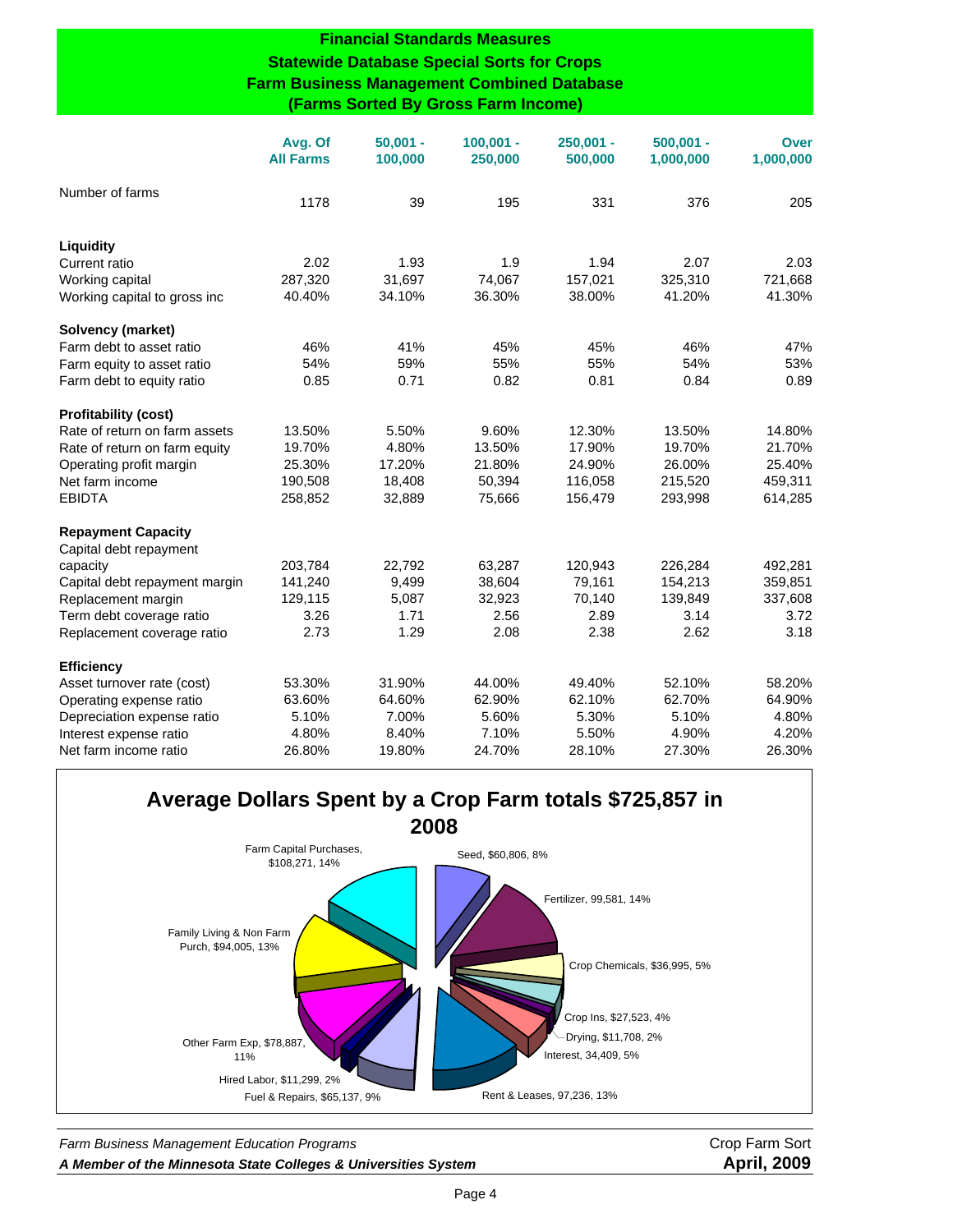#### **Financial Standards Measures**

### **Statewide Database Special Sorts for Crops Farm Business Management Combined Database (Farms Sorted By Gross Farm Income)**

|                               | Avg. Of<br><b>All Farms</b> | $50,001 -$<br>100,000 | $100,001 -$<br>250,000 | $250,001 -$<br>500,000 | $500,001 -$<br>1,000,000 | Over<br>1,000,000 |
|-------------------------------|-----------------------------|-----------------------|------------------------|------------------------|--------------------------|-------------------|
| Number of farms               | 1178                        | 39                    | 195                    | 331                    | 376                      | 205               |
| Liquidity                     |                             |                       |                        |                        |                          |                   |
| Current ratio                 | 2.02                        | 1.93                  | 1.9                    | 1.94                   | 2.07                     | 2.03              |
| Working capital               | 287,320                     | 31,697                | 74,067                 | 157,021                | 325,310                  | 721,668           |
| Working capital to gross inc  | 40.40%                      | 34.10%                | 36.30%                 | 38.00%                 | 41.20%                   | 41.30%            |
| Solvency (market)             |                             |                       |                        |                        |                          |                   |
| Farm debt to asset ratio      | 46%                         | 41%                   | 45%                    | 45%                    | 46%                      | 47%               |
| Farm equity to asset ratio    | 54%                         | 59%                   | 55%                    | 55%                    | 54%                      | 53%               |
| Farm debt to equity ratio     | 0.85                        | 0.71                  | 0.82                   | 0.81                   | 0.84                     | 0.89              |
| <b>Profitability (cost)</b>   |                             |                       |                        |                        |                          |                   |
| Rate of return on farm assets | 13.50%                      | 5.50%                 | 9.60%                  | 12.30%                 | 13.50%                   | 14.80%            |
| Rate of return on farm equity | 19.70%                      | 4.80%                 | 13.50%                 | 17.90%                 | 19.70%                   | 21.70%            |
| Operating profit margin       | 25.30%                      | 17.20%                | 21.80%                 | 24.90%                 | 26.00%                   | 25.40%            |
| Net farm income               | 190,508                     | 18,408                | 50,394                 | 116,058                | 215,520                  | 459,311           |
| <b>EBIDTA</b>                 | 258,852                     | 32,889                | 75,666                 | 156,479                | 293,998                  | 614,285           |
| <b>Repayment Capacity</b>     |                             |                       |                        |                        |                          |                   |
| Capital debt repayment        |                             |                       |                        |                        |                          |                   |
| capacity                      | 203,784                     | 22,792                | 63,287                 | 120,943                | 226,284                  | 492,281           |
| Capital debt repayment margin | 141,240                     | 9,499                 | 38,604                 | 79,161                 | 154,213                  | 359,851           |
| Replacement margin            | 129,115                     | 5,087                 | 32,923                 | 70,140                 | 139,849                  | 337,608           |
| Term debt coverage ratio      | 3.26                        | 1.71                  | 2.56                   | 2.89                   | 3.14                     | 3.72              |
| Replacement coverage ratio    | 2.73                        | 1.29                  | 2.08                   | 2.38                   | 2.62                     | 3.18              |
| <b>Efficiency</b>             |                             |                       |                        |                        |                          |                   |
| Asset turnover rate (cost)    | 53.30%                      | 31.90%                | 44.00%                 | 49.40%                 | 52.10%                   | 58.20%            |
| Operating expense ratio       | 63.60%                      | 64.60%                | 62.90%                 | 62.10%                 | 62.70%                   | 64.90%            |
| Depreciation expense ratio    | 5.10%                       | 7.00%                 | 5.60%                  | 5.30%                  | 5.10%                    | 4.80%             |
| Interest expense ratio        | 4.80%                       | 8.40%                 | 7.10%                  | 5.50%                  | 4.90%                    | 4.20%             |
| Net farm income ratio         | 26.80%                      | 19.80%                | 24.70%                 | 28.10%                 | 27.30%                   | 26.30%            |



**Farm Business Management Education Programs** Channel Communication Crop Farm Sort *A Member of the Minnesota State Colleges & Universities System* **April, 2009**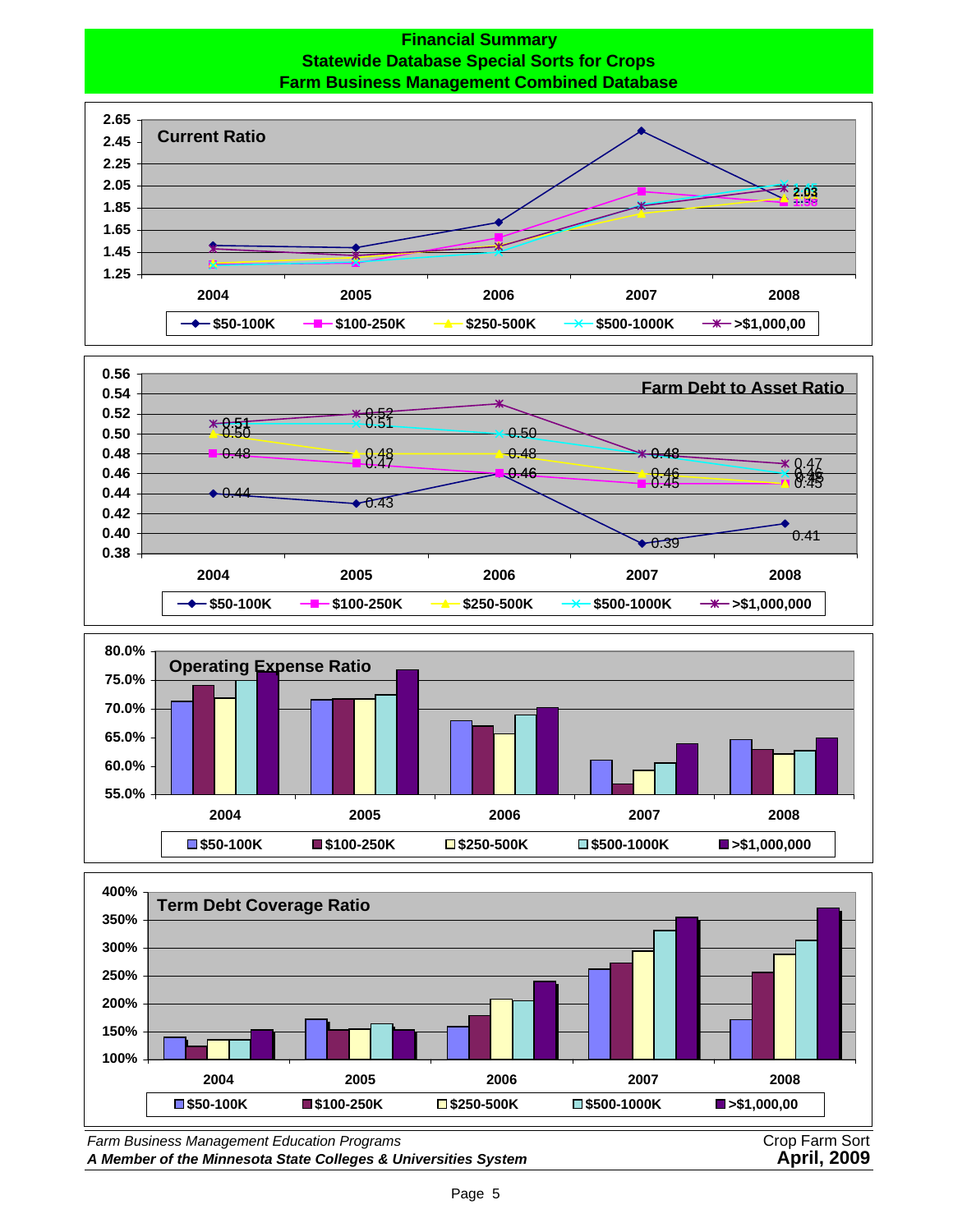## **Financial Summary Statewide Database Special Sorts for Crops Farm Business Management Combined Database**









*Farm Business Management Education Programs* Crop Farm Sort

A Member of the Minnesota State Colleges & Universities System **April, 2009**